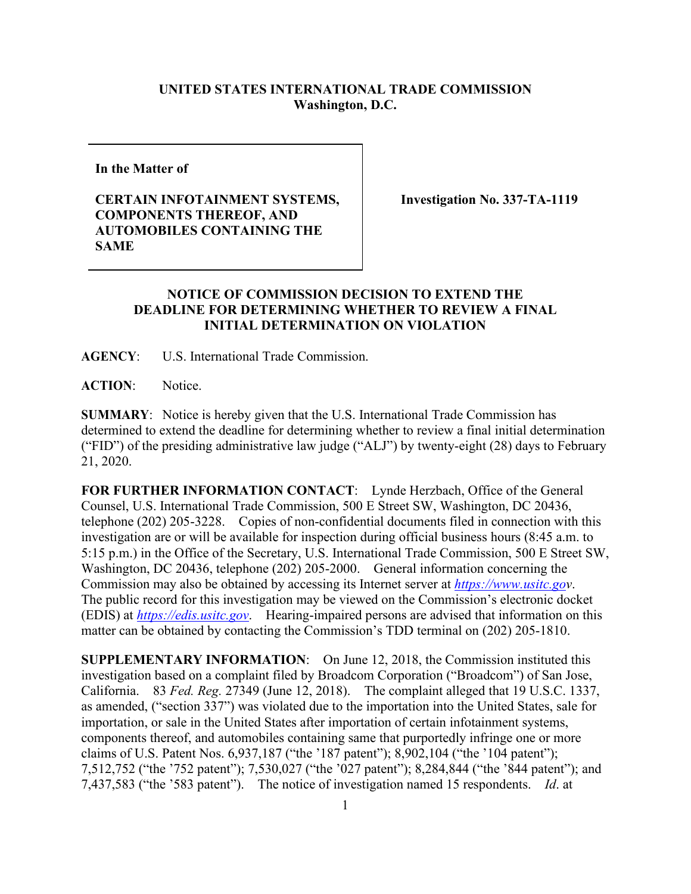## **UNITED STATES INTERNATIONAL TRADE COMMISSION Washington, D.C.**

**In the Matter of**

## **CERTAIN INFOTAINMENT SYSTEMS, COMPONENTS THEREOF, AND AUTOMOBILES CONTAINING THE SAME**

**Investigation No. 337-TA-1119**

## **NOTICE OF COMMISSION DECISION TO EXTEND THE DEADLINE FOR DETERMINING WHETHER TO REVIEW A FINAL INITIAL DETERMINATION ON VIOLATION**

**AGENCY**: U.S. International Trade Commission.

**ACTION**: Notice.

**SUMMARY**: Notice is hereby given that the U.S. International Trade Commission has determined to extend the deadline for determining whether to review a final initial determination ("FID") of the presiding administrative law judge ("ALJ") by twenty-eight (28) days to February 21, 2020.

**FOR FURTHER INFORMATION CONTACT**: Lynde Herzbach, Office of the General Counsel, U.S. International Trade Commission, 500 E Street SW, Washington, DC 20436, telephone (202) 205-3228. Copies of non-confidential documents filed in connection with this investigation are or will be available for inspection during official business hours (8:45 a.m. to 5:15 p.m.) in the Office of the Secretary, U.S. International Trade Commission, 500 E Street SW, Washington, DC 20436, telephone (202) 205-2000. General information concerning the Commission may also be obtained by accessing its Internet server at *[https://www.usitc.gov](https://www.usitc.go/)*. The public record for this investigation may be viewed on the Commission's electronic docket (EDIS) at *[https://edis.usitc.gov](https://edis.usitc.gov/)*. Hearing-impaired persons are advised that information on this matter can be obtained by contacting the Commission's TDD terminal on (202) 205-1810.

**SUPPLEMENTARY INFORMATION**: On June 12, 2018, the Commission instituted this investigation based on a complaint filed by Broadcom Corporation ("Broadcom") of San Jose, California. 83 *Fed. Reg.* 27349 (June 12, 2018). The complaint alleged that 19 U.S.C. 1337, as amended, ("section 337") was violated due to the importation into the United States, sale for importation, or sale in the United States after importation of certain infotainment systems, components thereof, and automobiles containing same that purportedly infringe one or more claims of U.S. Patent Nos. 6,937,187 ("the '187 patent"); 8,902,104 ("the '104 patent"); 7,512,752 ("the '752 patent"); 7,530,027 ("the '027 patent"); 8,284,844 ("the '844 patent"); and 7,437,583 ("the '583 patent"). The notice of investigation named 15 respondents. *Id*. at